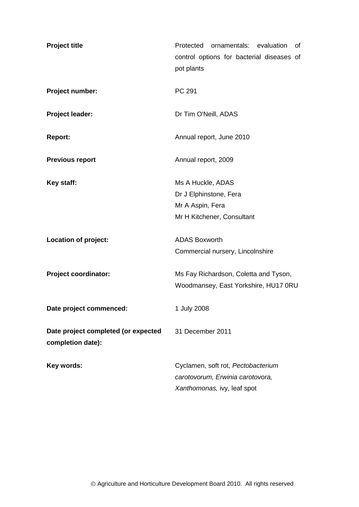| <b>Project title</b>                                     | ornamentals: evaluation<br>Protected<br>0f<br>control options for bacterial diseases of<br>pot plants |
|----------------------------------------------------------|-------------------------------------------------------------------------------------------------------|
| Project number:                                          | PC 291                                                                                                |
| Project leader:                                          | Dr Tim O'Neill, ADAS                                                                                  |
| <b>Report:</b>                                           | Annual report, June 2010                                                                              |
| <b>Previous report</b>                                   | Annual report, 2009                                                                                   |
| Key staff:                                               | Ms A Huckle, ADAS                                                                                     |
|                                                          | Dr J Elphinstone, Fera                                                                                |
|                                                          | Mr A Aspin, Fera                                                                                      |
|                                                          | Mr H Kitchener, Consultant                                                                            |
| Location of project:                                     | <b>ADAS Boxworth</b>                                                                                  |
|                                                          | Commercial nursery, Lincolnshire                                                                      |
| <b>Project coordinator:</b>                              | Ms Fay Richardson, Coletta and Tyson,                                                                 |
|                                                          | Woodmansey, East Yorkshire, HU17 0RU                                                                  |
| Date project commenced:                                  | 1 July 2008                                                                                           |
| Date project completed (or expected<br>completion date): | 31 December 2011                                                                                      |
| Key words:                                               | Cyclamen, soft rot, Pectobacterium                                                                    |
|                                                          | carotovorum, Erwinia carotovora,                                                                      |
|                                                          | Xanthomonas, ivy, leaf spot                                                                           |
|                                                          |                                                                                                       |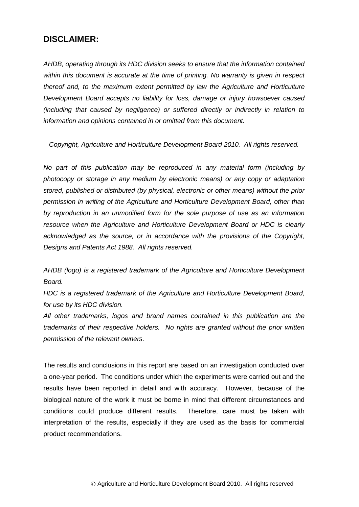## **DISCLAIMER:**

*AHDB, operating through its HDC division seeks to ensure that the information contained within this document is accurate at the time of printing. No warranty is given in respect thereof and, to the maximum extent permitted by law the Agriculture and Horticulture Development Board accepts no liability for loss, damage or injury howsoever caused (including that caused by negligence) or suffered directly or indirectly in relation to information and opinions contained in or omitted from this document.* 

*Copyright, Agriculture and Horticulture Development Board 2010. All rights reserved.*

*No part of this publication may be reproduced in any material form (including by photocopy or storage in any medium by electronic means) or any copy or adaptation stored, published or distributed (by physical, electronic or other means) without the prior permission in writing of the Agriculture and Horticulture Development Board, other than by reproduction in an unmodified form for the sole purpose of use as an information resource when the Agriculture and Horticulture Development Board or HDC is clearly acknowledged as the source, or in accordance with the provisions of the Copyright, Designs and Patents Act 1988. All rights reserved.* 

*AHDB (logo) is a registered trademark of the Agriculture and Horticulture Development Board.*

*HDC is a registered trademark of the Agriculture and Horticulture Development Board, for use by its HDC division.*

*All other trademarks, logos and brand names contained in this publication are the trademarks of their respective holders. No rights are granted without the prior written permission of the relevant owners.*

The results and conclusions in this report are based on an investigation conducted over a one-year period. The conditions under which the experiments were carried out and the results have been reported in detail and with accuracy. However, because of the biological nature of the work it must be borne in mind that different circumstances and conditions could produce different results. Therefore, care must be taken with interpretation of the results, especially if they are used as the basis for commercial product recommendations.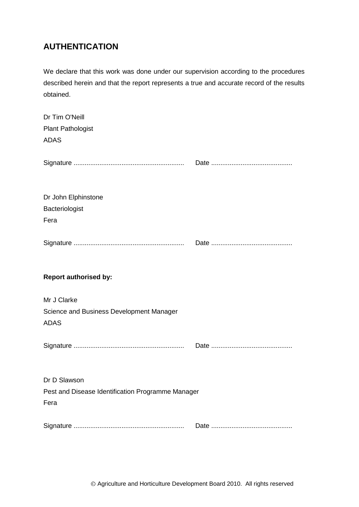# **AUTHENTICATION**

We declare that this work was done under our supervision according to the procedures described herein and that the report represents a true and accurate record of the results obtained.

| Dr Tim O'Neill<br><b>Plant Pathologist</b><br><b>ADAS</b> |  |
|-----------------------------------------------------------|--|
|                                                           |  |
| Dr John Elphinstone<br>Bacteriologist<br>Fera             |  |
|                                                           |  |
| <b>Report authorised by:</b>                              |  |
| Mr J Clarke                                               |  |
| Science and Business Development Manager<br><b>ADAS</b>   |  |
|                                                           |  |
| Dr D Slawson                                              |  |
| Pest and Disease Identification Programme Manager<br>Fera |  |
|                                                           |  |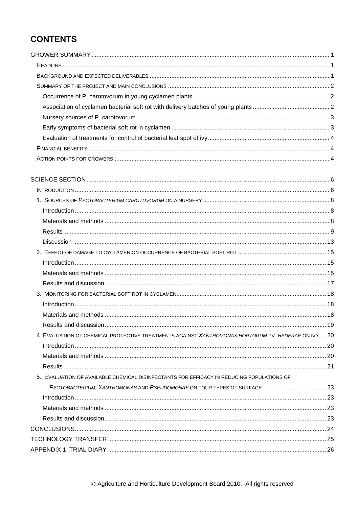# **CONTENTS**

| 4. EVALUATION OF CHEMICAL PROTECTIVE TREATMENTS AGAINST XANTHOMONAS HORTORUM PV. HEDERAE ON IVY  20 |  |
|-----------------------------------------------------------------------------------------------------|--|
|                                                                                                     |  |
|                                                                                                     |  |
|                                                                                                     |  |
| 5. EVALUATION OF AVAILABLE CHEMICAL DISINFECTANTS FOR EFFICACY IN REDUCING POPULATIONS OF           |  |
|                                                                                                     |  |
|                                                                                                     |  |
|                                                                                                     |  |
|                                                                                                     |  |
|                                                                                                     |  |
|                                                                                                     |  |
|                                                                                                     |  |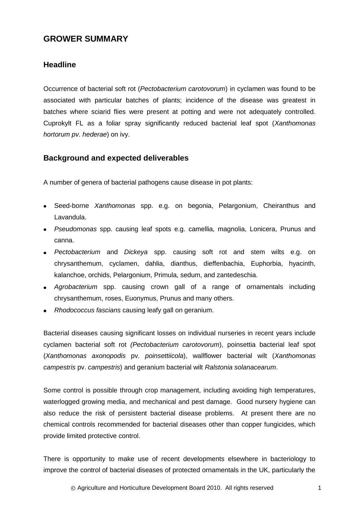## <span id="page-4-0"></span>**GROWER SUMMARY**

## <span id="page-4-1"></span>**Headline**

Occurrence of bacterial soft rot (*Pectobacterium carotovorum*) in cyclamen was found to be associated with particular batches of plants; incidence of the disease was greatest in batches where sciarid flies were present at potting and were not adequately controlled. Cuprokylt FL as a foliar spray significantly reduced bacterial leaf spot (*Xanthomonas hortorum pv. hederae*) on ivy.

## <span id="page-4-2"></span>**Background and expected deliverables**

A number of genera of bacterial pathogens cause disease in pot plants:

- Seed-borne *Xanthomonas* spp. e.g. on begonia, Pelargonium, Cheiranthus and Lavandula.
- *Pseudomonas* spp. causing leaf spots e.g. camellia, magnolia, Lonicera, Prunus and canna.
- *Pectobacterium* and *Dickeya* spp. causing soft rot and stem wilts e.g. on chrysanthemum, cyclamen, dahlia, dianthus, dieffenbachia, Euphorbia, hyacinth, kalanchoe, orchids, Pelargonium, Primula, sedum, and zantedeschia.
- *Agrobacterium* spp. causing crown gall of a range of ornamentals including chrysanthemum, roses, Euonymus, Prunus and many others.
- *Rhodococcus fascians* causing leafy gall on geranium.

Bacterial diseases causing significant losses on individual nurseries in recent years include cyclamen bacterial soft rot *(Pectobacterium carotovorum*), poinsettia bacterial leaf spot (*Xanthomonas axonopodis* pv. *poinsettiicola*), wallflower bacterial wilt (*Xanthomonas campestris* pv. *campestris*) and geranium bacterial wilt *Ralstonia solanacearum*.

Some control is possible through crop management, including avoiding high temperatures, waterlogged growing media, and mechanical and pest damage. Good nursery hygiene can also reduce the risk of persistent bacterial disease problems. At present there are no chemical controls recommended for bacterial diseases other than copper fungicides, which provide limited protective control.

There is opportunity to make use of recent developments elsewhere in bacteriology to improve the control of bacterial diseases of protected ornamentals in the UK, particularly the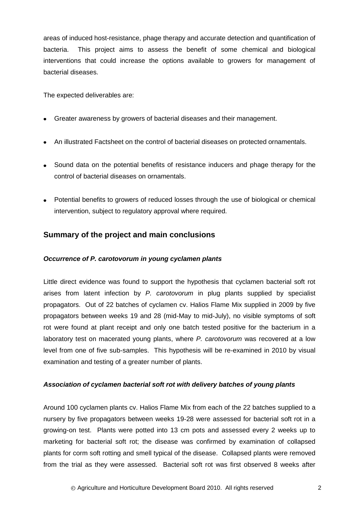areas of induced host-resistance, phage therapy and accurate detection and quantification of bacteria. This project aims to assess the benefit of some chemical and biological interventions that could increase the options available to growers for management of bacterial diseases.

The expected deliverables are:

- Greater awareness by growers of bacterial diseases and their management.
- An illustrated Factsheet on the control of bacterial diseases on protected ornamentals.
- Sound data on the potential benefits of resistance inducers and phage therapy for the control of bacterial diseases on ornamentals.
- Potential benefits to growers of reduced losses through the use of biological or chemical intervention, subject to regulatory approval where required.

## <span id="page-5-0"></span>**Summary of the project and main conclusions**

## <span id="page-5-1"></span>*Occurrence of P. carotovorum in young cyclamen plants*

Little direct evidence was found to support the hypothesis that cyclamen bacterial soft rot arises from latent infection by *P. carotovorum* in plug plants supplied by specialist propagators. Out of 22 batches of cyclamen cv. Halios Flame Mix supplied in 2009 by five propagators between weeks 19 and 28 (mid-May to mid-July), no visible symptoms of soft rot were found at plant receipt and only one batch tested positive for the bacterium in a laboratory test on macerated young plants, where *P. carotovorum* was recovered at a low level from one of five sub-samples. This hypothesis will be re-examined in 2010 by visual examination and testing of a greater number of plants.

## <span id="page-5-2"></span>*Association of cyclamen bacterial soft rot with delivery batches of young plants*

Around 100 cyclamen plants cv. Halios Flame Mix from each of the 22 batches supplied to a nursery by five propagators between weeks 19-28 were assessed for bacterial soft rot in a growing-on test. Plants were potted into 13 cm pots and assessed every 2 weeks up to marketing for bacterial soft rot; the disease was confirmed by examination of collapsed plants for corm soft rotting and smell typical of the disease. Collapsed plants were removed from the trial as they were assessed. Bacterial soft rot was first observed 8 weeks after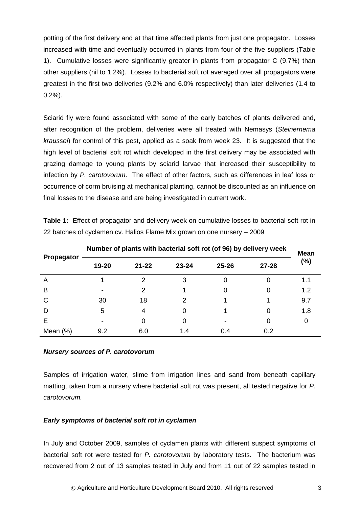potting of the first delivery and at that time affected plants from just one propagator. Losses increased with time and eventually occurred in plants from four of the five suppliers (Table 1). Cumulative losses were significantly greater in plants from propagator C (9.7%) than other suppliers (nil to 1.2%). Losses to bacterial soft rot averaged over all propagators were greatest in the first two deliveries (9.2% and 6.0% respectively) than later deliveries (1.4 to 0.2%).

Sciarid fly were found associated with some of the early batches of plants delivered and, after recognition of the problem, deliveries were all treated with Nemasys (*Steinernema kraussei*) for control of this pest, applied as a soak from week 23. It is suggested that the high level of bacterial soft rot which developed in the first delivery may be associated with grazing damage to young plants by sciarid larvae that increased their susceptibility to infection by *P. carotovorum*. The effect of other factors, such as differences in leaf loss or occurrence of corm bruising at mechanical planting, cannot be discounted as an influence on final losses to the disease and are being investigated in current work.

| Propagator  |       | Number of plants with bacterial soft rot (of 96) by delivery week |           |           |           |     |  |  |  |
|-------------|-------|-------------------------------------------------------------------|-----------|-----------|-----------|-----|--|--|--|
|             | 19-20 | $21 - 22$                                                         | $23 - 24$ | $25 - 26$ | $27 - 28$ | (%) |  |  |  |
| A           |       |                                                                   | 3         |           |           | 1.1 |  |  |  |
| B           |       |                                                                   |           |           |           | 1.2 |  |  |  |
| C           | 30    | 18                                                                |           |           |           | 9.7 |  |  |  |
| D           | 5     | 4                                                                 |           |           | O         | 1.8 |  |  |  |
| Е           | -     |                                                                   | O         |           |           |     |  |  |  |
| Mean $(\%)$ | 9.2   | 6.0                                                               | 1.4       | 0.4       | 0.2       |     |  |  |  |

**Table 1:** Effect of propagator and delivery week on cumulative losses to bacterial soft rot in 22 batches of cyclamen cv. Halios Flame Mix grown on one nursery – 2009

#### <span id="page-6-0"></span>*Nursery sources of P. carotovorum*

Samples of irrigation water, slime from irrigation lines and sand from beneath capillary matting, taken from a nursery where bacterial soft rot was present, all tested negative for *P. carotovorum.*

#### <span id="page-6-1"></span>*Early symptoms of bacterial soft rot in cyclamen*

In July and October 2009, samples of cyclamen plants with different suspect symptoms of bacterial soft rot were tested for *P. carotovorum* by laboratory tests. The bacterium was recovered from 2 out of 13 samples tested in July and from 11 out of 22 samples tested in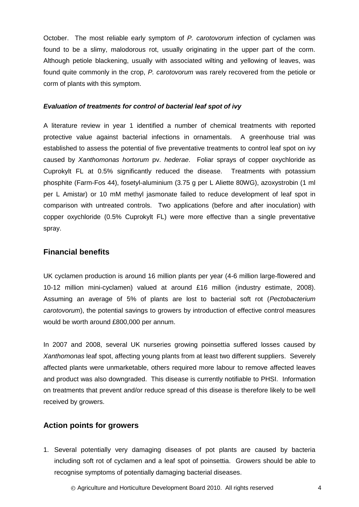October. The most reliable early symptom of *P. carotovorum* infection of cyclamen was found to be a slimy, malodorous rot, usually originating in the upper part of the corm. Although petiole blackening, usually with associated wilting and yellowing of leaves, was found quite commonly in the crop, *P. carotovorum* was rarely recovered from the petiole or corm of plants with this symptom.

#### <span id="page-7-0"></span>*Evaluation of treatments for control of bacterial leaf spot of ivy*

A literature review in year 1 identified a number of chemical treatments with reported protective value against bacterial infections in ornamentals. A greenhouse trial was established to assess the potential of five preventative treatments to control leaf spot on ivy caused by *Xanthomonas hortorum* pv. *hederae*. Foliar sprays of copper oxychloride as Cuprokylt FL at 0.5% significantly reduced the disease. Treatments with potassium phosphite (Farm-Fos 44), fosetyl-aluminium (3.75 g per L Aliette 80WG), azoxystrobin (1 ml per L Amistar) or 10 mM methyl jasmonate failed to reduce development of leaf spot in comparison with untreated controls. Two applications (before and after inoculation) with copper oxychloride (0.5% Cuprokylt FL) were more effective than a single preventative spray.

## <span id="page-7-1"></span>**Financial benefits**

UK cyclamen production is around 16 million plants per year (4-6 million large-flowered and 10-12 million mini-cyclamen) valued at around £16 million (industry estimate, 2008). Assuming an average of 5% of plants are lost to bacterial soft rot (*Pectobacterium carotovorum*), the potential savings to growers by introduction of effective control measures would be worth around £800,000 per annum.

In 2007 and 2008, several UK nurseries growing poinsettia suffered losses caused by *Xanthomonas* leaf spot, affecting young plants from at least two different suppliers. Severely affected plants were unmarketable, others required more labour to remove affected leaves and product was also downgraded. This disease is currently notifiable to PHSI. Information on treatments that prevent and/or reduce spread of this disease is therefore likely to be well received by growers.

## <span id="page-7-2"></span>**Action points for growers**

1. Several potentially very damaging diseases of pot plants are caused by bacteria including soft rot of cyclamen and a leaf spot of poinsettia. Growers should be able to recognise symptoms of potentially damaging bacterial diseases.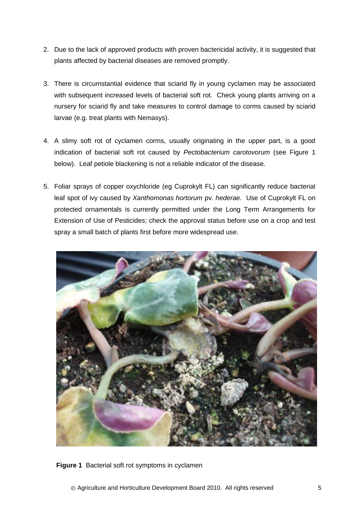- 2. Due to the lack of approved products with proven bactericidal activity, it is suggested that plants affected by bacterial diseases are removed promptly.
- 3. There is circumstantial evidence that sciarid fly in young cyclamen may be associated with subsequent increased levels of bacterial soft rot. Check young plants arriving on a nursery for sciarid fly and take measures to control damage to corms caused by sciarid larvae (e.g. treat plants with Nemasys).
- 4. A slimy soft rot of cyclamen corms, usually originating in the upper part, is a good indication of bacterial soft rot caused by *Pectobacterium carotovorum* (see Figure 1 below). Leaf petiole blackening is not a reliable indicator of the disease.
- 5. Foliar sprays of copper oxychloride (eg Cuprokylt FL) can significantly reduce bacterial leaf spot of ivy caused by *Xanthomonas hortorum* pv. *hederae.* Use of Cuprokylt FL on protected ornamentals is currently permitted under the Long Term Arrangements for Extension of Use of Pesticides; check the approval status before use on a crop and test spray a small batch of plants first before more widespread use.



**Figure 1** Bacterial soft rot symptoms in cyclamen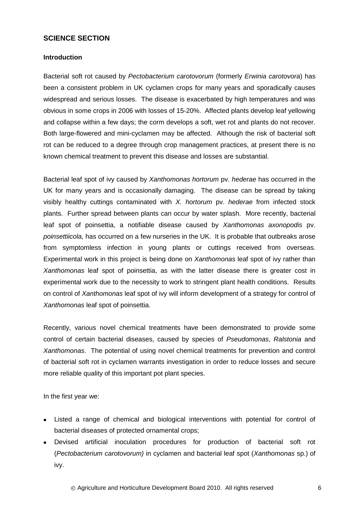## <span id="page-9-0"></span>**SCIENCE SECTION**

## <span id="page-9-1"></span>**Introduction**

Bacterial soft rot caused by *Pectobacterium carotovorum* (formerly *Erwinia carotovora*) has been a consistent problem in UK cyclamen crops for many years and sporadically causes widespread and serious losses. The disease is exacerbated by high temperatures and was obvious in some crops in 2006 with losses of 15-20%. Affected plants develop leaf yellowing and collapse within a few days; the corm develops a soft, wet rot and plants do not recover. Both large-flowered and mini-cyclamen may be affected. Although the risk of bacterial soft rot can be reduced to a degree through crop management practices, at present there is no known chemical treatment to prevent this disease and losses are substantial.

Bacterial leaf spot of ivy caused by *Xanthomonas hortorum* pv. *hederae* has occurred in the UK for many years and is occasionally damaging. The disease can be spread by taking visibly healthy cuttings contaminated with *X. hortorum* pv. *hederae* from infected stock plants. Further spread between plants can occur by water splash. More recently, bacterial leaf spot of poinsettia, a notifiable disease caused by *Xanthomonas axonopodis* pv. *poinsettiicola,* has occurred on a few nurseries in the UK. It is probable that outbreaks arose from symptomless infection in young plants or cuttings received from overseas. Experimental work in this project is being done on *Xanthomonas* leaf spot of ivy rather than *Xanthomonas* leaf spot of poinsettia, as with the latter disease there is greater cost in experimental work due to the necessity to work to stringent plant health conditions. Results on control of *Xanthomonas* leaf spot of ivy will inform development of a strategy for control of *Xanthomonas* leaf spot of poinsettia.

Recently, various novel chemical treatments have been demonstrated to provide some control of certain bacterial diseases, caused by species of *Pseudomonas, Ralstonia* and *Xanthomonas*. The potential of using novel chemical treatments for prevention and control of bacterial soft rot in cyclamen warrants investigation in order to reduce losses and secure more reliable quality of this important pot plant species.

In the first year we:

- Listed a range of chemical and biological interventions with potential for control of bacterial diseases of protected ornamental crops;
- Devised artificial inoculation procedures for production of bacterial soft rot (*Pectobacterium carotovorum)* in cyclamen and bacterial leaf spot (*Xanthomonas* sp.) of ivy.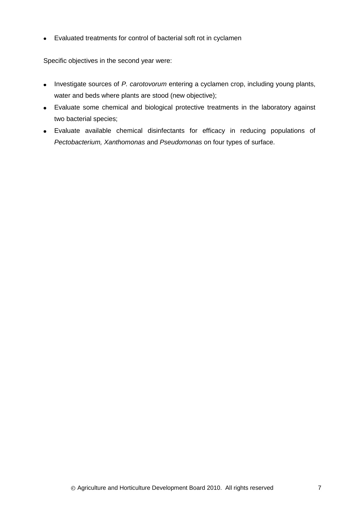Evaluated treatments for control of bacterial soft rot in cyclamen

Specific objectives in the second year were:

- Investigate sources of *P. carotovorum* entering a cyclamen crop, including young plants, water and beds where plants are stood (new objective);
- Evaluate some chemical and biological protective treatments in the laboratory against two bacterial species;
- Evaluate available chemical disinfectants for efficacy in reducing populations of *Pectobacterium, Xanthomonas* and *Pseudomonas* on four types of surface.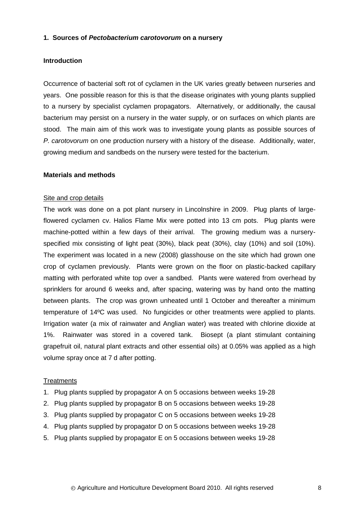#### <span id="page-11-0"></span>**1. Sources of** *Pectobacterium carotovorum* **on a nursery**

#### <span id="page-11-1"></span>**Introduction**

Occurrence of bacterial soft rot of cyclamen in the UK varies greatly between nurseries and years. One possible reason for this is that the disease originates with young plants supplied to a nursery by specialist cyclamen propagators. Alternatively, or additionally, the causal bacterium may persist on a nursery in the water supply, or on surfaces on which plants are stood. The main aim of this work was to investigate young plants as possible sources of *P. carotovorum* on one production nursery with a history of the disease. Additionally, water, growing medium and sandbeds on the nursery were tested for the bacterium.

#### <span id="page-11-2"></span>**Materials and methods**

#### Site and crop details

The work was done on a pot plant nursery in Lincolnshire in 2009. Plug plants of largeflowered cyclamen cv. Halios Flame Mix were potted into 13 cm pots. Plug plants were machine-potted within a few days of their arrival. The growing medium was a nurseryspecified mix consisting of light peat (30%), black peat (30%), clay (10%) and soil (10%). The experiment was located in a new (2008) glasshouse on the site which had grown one crop of cyclamen previously. Plants were grown on the floor on plastic-backed capillary matting with perforated white top over a sandbed. Plants were watered from overhead by sprinklers for around 6 weeks and, after spacing, watering was by hand onto the matting between plants. The crop was grown unheated until 1 October and thereafter a minimum temperature of 14ºC was used. No fungicides or other treatments were applied to plants. Irrigation water (a mix of rainwater and Anglian water) was treated with chlorine dioxide at 1%. Rainwater was stored in a covered tank. Biosept (a plant stimulant containing grapefruit oil, natural plant extracts and other essential oils) at 0.05% was applied as a high volume spray once at 7 d after potting.

#### **Treatments**

- 1. Plug plants supplied by propagator A on 5 occasions between weeks 19-28
- 2. Plug plants supplied by propagator B on 5 occasions between weeks 19-28
- 3. Plug plants supplied by propagator C on 5 occasions between weeks 19-28
- 4. Plug plants supplied by propagator D on 5 occasions between weeks 19-28
- 5. Plug plants supplied by propagator E on 5 occasions between weeks 19-28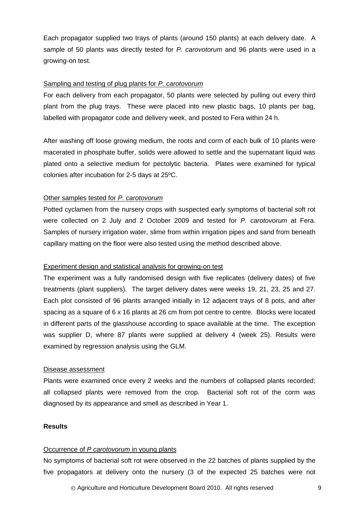Each propagator supplied two trays of plants (around 150 plants) at each delivery date. A sample of 50 plants was directly tested for *P. carovotorum* and 96 plants were used in a growing-on test.

### Sampling and testing of plug plants for *P. carotovorum*

For each delivery from each propagator, 50 plants were selected by pulling out every third plant from the plug trays. These were placed into new plastic bags, 10 plants per bag, labelled with propagator code and delivery week, and posted to Fera within 24 h.

After washing off loose growing medium, the roots and corm of each bulk of 10 plants were macerated in phosphate buffer, solids were allowed to settle and the supernatant liquid was plated onto a selective medium for pectolytic bacteria. Plates were examined for typical colonies after incubation for 2-5 days at 25ºC.

#### Other samples tested for *P. carotovorum*

Potted cyclamen from the nursery crops with suspected early symptoms of bacterial soft rot were collected on 2 July and 2 October 2009 and tested for *P. carotovorum* at Fera. Samples of nursery irrigation water, slime from within irrigation pipes and sand from beneath capillary matting on the floor were also tested using the method described above.

#### Experiment design and statistical analysis for growing-on test

The experiment was a fully randomised design with five replicates (delivery dates) of five treatments (plant suppliers). The target delivery dates were weeks 19, 21, 23, 25 and 27. Each plot consisted of 96 plants arranged initially in 12 adjacent trays of 8 pots, and after spacing as a square of 6 x 16 plants at 26 cm from pot centre to centre. Blocks were located in different parts of the glasshouse according to space available at the time. The exception was supplier D, where 87 plants were supplied at delivery 4 (week 25). Results were examined by regression analysis using the GLM.

#### Disease assessment

Plants were examined once every 2 weeks and the numbers of collapsed plants recorded; all collapsed plants were removed from the crop. Bacterial soft rot of the corm was diagnosed by its appearance and smell as described in Year 1.

#### <span id="page-12-0"></span>**Results**

#### Occurrence of *P carotovorum* in young plants

No symptoms of bacterial soft rot were observed in the 22 batches of plants supplied by the five propagators at delivery onto the nursery (3 of the expected 25 batches were not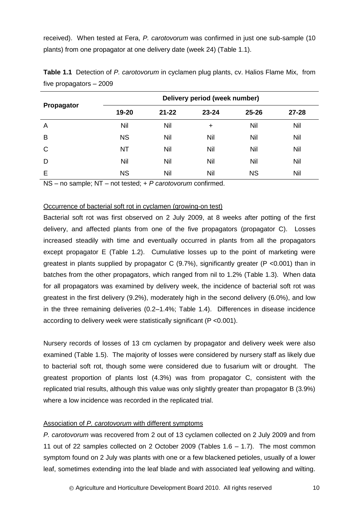received). When tested at Fera, *P. carotovorum* was confirmed in just one sub-sample (10 plants) from one propagator at one delivery date (week 24) (Table 1.1).

|            |           |           | Delivery period (week number) |           |           |
|------------|-----------|-----------|-------------------------------|-----------|-----------|
| Propagator | 19-20     | $21 - 22$ | $23 - 24$                     | $25 - 26$ | $27 - 28$ |
| A          | Nil       | Nil       | $\ddot{}$                     | Nil       | Nil       |
| B          | <b>NS</b> | Nil       | Nil                           | Nil       | Nil       |
| C          | <b>NT</b> | Nil       | Nil                           | Nil       | Nil       |
| D          | Nil       | Nil       | Nil                           | Nil       | Nil       |
| E          | <b>NS</b> | Nil       | Nil                           | <b>NS</b> | Nil       |

**Table 1.1** Detection of *P. carotovorum* in cyclamen plug plants, cv. Halios Flame Mix, from five propagators – 2009

NS – no sample; NT – not tested; + *P carotovorum* confirmed.

#### Occurrence of bacterial soft rot in cyclamen (growing-on test)

Bacterial soft rot was first observed on 2 July 2009, at 8 weeks after potting of the first delivery, and affected plants from one of the five propagators (propagator C). Losses increased steadily with time and eventually occurred in plants from all the propagators except propagator E (Table 1.2). Cumulative losses up to the point of marketing were greatest in plants supplied by propagator C  $(9.7%)$ , significantly greater  $(P < 0.001)$  than in batches from the other propagators, which ranged from nil to 1.2% (Table 1.3). When data for all propagators was examined by delivery week, the incidence of bacterial soft rot was greatest in the first delivery (9.2%), moderately high in the second delivery (6.0%), and low in the three remaining deliveries (0.2–1.4%; Table 1.4). Differences in disease incidence according to delivery week were statistically significant (P <0.001).

Nursery records of losses of 13 cm cyclamen by propagator and delivery week were also examined (Table 1.5). The majority of losses were considered by nursery staff as likely due to bacterial soft rot, though some were considered due to fusarium wilt or drought. The greatest proportion of plants lost (4.3%) was from propagator C, consistent with the replicated trial results, although this value was only slightly greater than propagator B (3.9%) where a low incidence was recorded in the replicated trial.

## Association of *P. carotovorum* with different symptoms

*P. carotovorum* was recovered from 2 out of 13 cyclamen collected on 2 July 2009 and from 11 out of 22 samples collected on 2 October 2009 (Tables 1.6 – 1.7). The most common symptom found on 2 July was plants with one or a few blackened petioles, usually of a lower leaf, sometimes extending into the leaf blade and with associated leaf yellowing and wilting.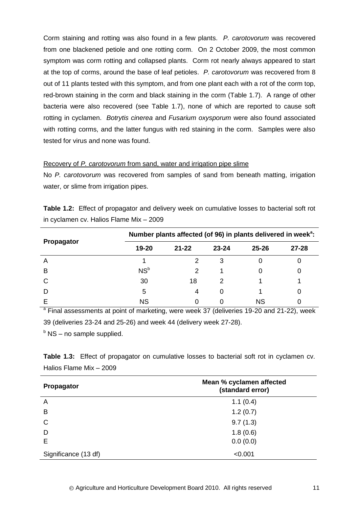Corm staining and rotting was also found in a few plants. *P. carotovorum* was recovered from one blackened petiole and one rotting corm. On 2 October 2009, the most common symptom was corm rotting and collapsed plants. Corm rot nearly always appeared to start at the top of corms, around the base of leaf petioles. *P. carotovorum* was recovered from 8 out of 11 plants tested with this symptom, and from one plant each with a rot of the corm top, red-brown staining in the corm and black staining in the corm (Table 1.7). A range of other bacteria were also recovered (see Table 1.7), none of which are reported to cause soft rotting in cyclamen. *Botrytis cinerea* and *Fusarium oxysporum* were also found associated with rotting corms, and the latter fungus with red staining in the corm. Samples were also tested for virus and none was found.

## Recovery of *P. carotovorum* from sand, water and irrigation pipe slime

No *P. carotovorum* was recovered from samples of sand from beneath matting, irrigation water, or slime from irrigation pipes.

| <b>Table 1.2:</b> Effect of propagator and delivery week on cumulative losses to bacterial soft rot |  |  |  |
|-----------------------------------------------------------------------------------------------------|--|--|--|
| in cyclamen cv. Halios Flame Mix - 2009                                                             |  |  |  |

|            |                 | Number plants affected (of 96) in plants delivered in week <sup>a</sup> : |               |           |       |  |  |  |  |  |
|------------|-----------------|---------------------------------------------------------------------------|---------------|-----------|-------|--|--|--|--|--|
| Propagator | 19-20           | $21 - 22$                                                                 | $23 - 24$     | $25 - 26$ | 27-28 |  |  |  |  |  |
| A          |                 |                                                                           | 3             |           |       |  |  |  |  |  |
| B          | NS <sup>b</sup> | 2                                                                         |               |           |       |  |  |  |  |  |
| C          | 30              | 18                                                                        | $\mathcal{P}$ |           |       |  |  |  |  |  |
| D          | 5               | 4                                                                         | 0             |           |       |  |  |  |  |  |
|            | <b>NS</b>       |                                                                           | 0             | ΝS        |       |  |  |  |  |  |

<sup>a</sup> Final assessments at point of marketing, were week 37 (deliveries 19-20 and 21-22), week 39 (deliveries 23-24 and 25-26) and week 44 (delivery week 27-28).

 $b$  NS – no sample supplied.

|                         | Table 1.3: Effect of propagator on cumulative losses to bacterial soft rot in cyclamen cv. |  |  |  |  |  |
|-------------------------|--------------------------------------------------------------------------------------------|--|--|--|--|--|
| Halios Flame Mix - 2009 |                                                                                            |  |  |  |  |  |

| Propagator           | Mean % cyclamen affected<br>(standard error) |  |
|----------------------|----------------------------------------------|--|
| A                    | 1.1(0.4)                                     |  |
| B                    | 1.2(0.7)                                     |  |
| $\mathsf{C}$         | 9.7(1.3)                                     |  |
| D                    | 1.8(0.6)                                     |  |
| Е                    | 0.0(0.0)                                     |  |
| Significance (13 df) | < 0.001                                      |  |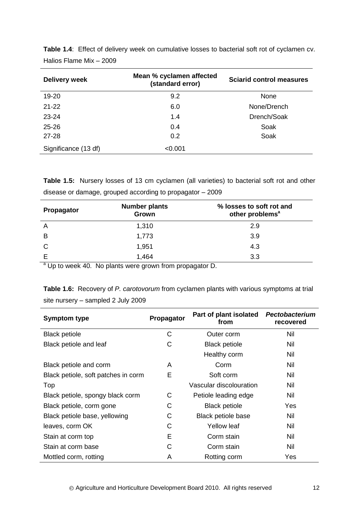| Delivery week        | Mean % cyclamen affected<br>(standard error) | <b>Sciarid control measures</b> |
|----------------------|----------------------------------------------|---------------------------------|
| 19-20                | 9.2                                          | None                            |
| $21 - 22$            | 6.0                                          | None/Drench                     |
| $23 - 24$            | 1.4                                          | Drench/Soak                     |
| $25 - 26$            | 0.4                                          | Soak                            |
| $27 - 28$            | 0.2                                          | Soak                            |
| Significance (13 df) | < 0.001                                      |                                 |

**Table 1.4**: Effect of delivery week on cumulative losses to bacterial soft rot of cyclamen cv. Halios Flame Mix – 2009

**Table 1.5:** Nursery losses of 13 cm cyclamen (all varieties) to bacterial soft rot and other disease or damage, grouped according to propagator – 2009

| Propagator | <b>Number plants</b><br>Grown | % losses to soft rot and<br>other problems <sup>a</sup> |
|------------|-------------------------------|---------------------------------------------------------|
| A          | 1,310                         | 2.9                                                     |
| B          | 1,773                         | 3.9                                                     |
| C          | 1,951                         | 4.3                                                     |
|            | 1,464                         | 3.3                                                     |

 $a$  Up to week 40. No plants were grown from propagator D.

**Table 1.6:** Recovery of *P. carotovorum* from cyclamen plants with various symptoms at trial site nursery – sampled 2 July 2009

| <b>Symptom type</b>                 | Propagator | Part of plant isolated<br>from | Pectobacterium<br>recovered |
|-------------------------------------|------------|--------------------------------|-----------------------------|
| <b>Black petiole</b>                | C          | Outer corm                     | Nil                         |
| Black petiole and leaf              | С          | <b>Black petiole</b>           | Nil                         |
|                                     |            | Healthy corm                   | Nil                         |
| Black petiole and corm              | A          | Corm                           | Nil                         |
| Black petiole, soft patches in corm | E          | Soft corm                      | Nil                         |
| Top                                 |            | Vascular discolouration        | Nil                         |
| Black petiole, spongy black corm    | C          | Petiole leading edge           | Nil                         |
| Black petiole, corm gone            | С          | <b>Black petiole</b>           | Yes                         |
| Black petiole base, yellowing       | C          | Black petiole base             | Nil                         |
| leaves, corm OK                     | С          | <b>Yellow leaf</b>             | Nil                         |
| Stain at corm top                   | Е          | Corm stain                     | Nil                         |
| Stain at corm base                  | С          | Corm stain                     | Nil                         |
| Mottled corm, rotting               | A          | Rotting corm                   | Yes                         |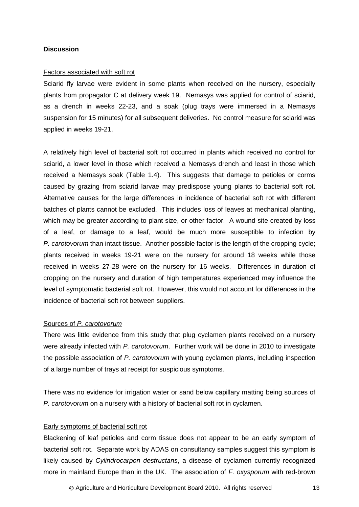#### <span id="page-16-0"></span>**Discussion**

#### Factors associated with soft rot

Sciarid fly larvae were evident in some plants when received on the nursery, especially plants from propagator C at delivery week 19. Nemasys was applied for control of sciarid, as a drench in weeks 22-23, and a soak (plug trays were immersed in a Nemasys suspension for 15 minutes) for all subsequent deliveries. No control measure for sciarid was applied in weeks 19-21.

A relatively high level of bacterial soft rot occurred in plants which received no control for sciarid, a lower level in those which received a Nemasys drench and least in those which received a Nemasys soak (Table 1.4). This suggests that damage to petioles or corms caused by grazing from sciarid larvae may predispose young plants to bacterial soft rot. Alternative causes for the large differences in incidence of bacterial soft rot with different batches of plants cannot be excluded. This includes loss of leaves at mechanical planting, which may be greater according to plant size, or other factor. A wound site created by loss of a leaf, or damage to a leaf, would be much more susceptible to infection by *P. carotovorum* than intact tissue. Another possible factor is the length of the cropping cycle; plants received in weeks 19-21 were on the nursery for around 18 weeks while those received in weeks 27-28 were on the nursery for 16 weeks. Differences in duration of cropping on the nursery and duration of high temperatures experienced may influence the level of symptomatic bacterial soft rot. However, this would not account for differences in the incidence of bacterial soft rot between suppliers.

#### Sources of *P. carotovorum*

There was little evidence from this study that plug cyclamen plants received on a nursery were already infected with *P. carotovorum*. Further work will be done in 2010 to investigate the possible association of *P. carotovorum* with young cyclamen plants, including inspection of a large number of trays at receipt for suspicious symptoms.

There was no evidence for irrigation water or sand below capillary matting being sources of *P. carotovorum* on a nursery with a history of bacterial soft rot in cyclamen.

### Early symptoms of bacterial soft rot

Blackening of leaf petioles and corm tissue does not appear to be an early symptom of bacterial soft rot. Separate work by ADAS on consultancy samples suggest this symptom is likely caused by *Cylindrocarpon destructans*, a disease of cyclamen currently recognized more in mainland Europe than in the UK. The association of *F. oxysporum* with red-brown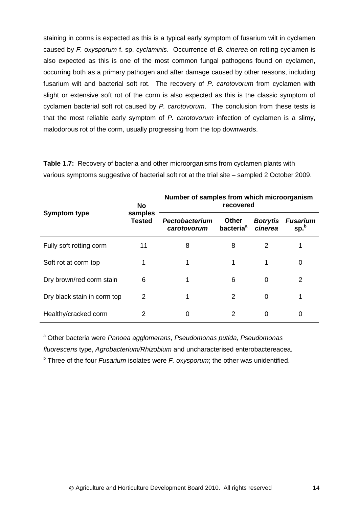staining in corms is expected as this is a typical early symptom of fusarium wilt in cyclamen caused by *F. oxysporum* f. sp. *cyclaminis*. Occurrence of *B. cinerea* on rotting cyclamen is also expected as this is one of the most common fungal pathogens found on cyclamen, occurring both as a primary pathogen and after damage caused by other reasons, including fusarium wilt and bacterial soft rot. The recovery of *P. carotovorum* from cyclamen with slight or extensive soft rot of the corm is also expected as this is the classic symptom of cyclamen bacterial soft rot caused by *P. carotovorum*. The conclusion from these tests is that the most reliable early symptom of *P. carotovorum* infection of cyclamen is a slimy, malodorous rot of the corm, usually progressing from the top downwards.

| <b>Symptom type</b>         | <b>No</b><br>samples<br><b>Tested</b> | Number of samples from which microorganism<br>recovered |                                       |                            |                                     |
|-----------------------------|---------------------------------------|---------------------------------------------------------|---------------------------------------|----------------------------|-------------------------------------|
|                             |                                       | Pectobacterium<br>carotovorum                           | <b>Other</b><br>bacteria <sup>a</sup> | <b>Botrytis</b><br>cinerea | <b>Fusarium</b><br>sp. <sup>b</sup> |
| Fully soft rotting corm     | 11                                    | 8                                                       | 8                                     | 2                          | 1                                   |
| Soft rot at corm top        | 1                                     | 1                                                       | 1                                     |                            | 0                                   |
| Dry brown/red corm stain    | 6                                     | 1                                                       | 6                                     | 0                          | 2                                   |
| Dry black stain in corm top | 2                                     |                                                         | 2                                     | 0                          | 1                                   |
| Healthy/cracked corm        | 2                                     | 0                                                       | $\mathcal{P}$                         | $\Omega$                   | 0                                   |

**Table 1.7:** Recovery of bacteria and other microorganisms from cyclamen plants with various symptoms suggestive of bacterial soft rot at the trial site – sampled 2 October 2009.

<sup>a</sup> Other bacteria were *Panoea agglomerans, Pseudomonas putida, Pseudomonas fluorescens* type, *Agrobacterium/Rhizobium* and uncharacterised enterobactereacea.

<sup>b</sup> Three of the four *Fusarium* isolates were *F. oxysporum*; the other was unidentified.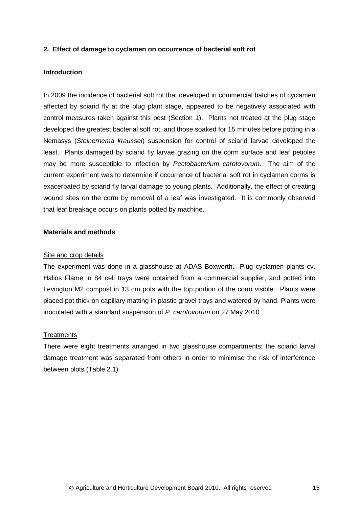## <span id="page-18-0"></span>**2. Effect of damage to cyclamen on occurrence of bacterial soft rot**

#### <span id="page-18-1"></span>**Introduction**

In 2009 the incidence of bacterial soft rot that developed in commercial batches of cyclamen affected by sciarid fly at the plug plant stage, appeared to be negatively associated with control measures taken against this pest (Section 1). Plants not treated at the plug stage developed the greatest bacterial soft rot, and those soaked for 15 minutes before potting in a Nemasys (*Steinernema kraussei*) suspension for control of sciarid larvae developed the least. Plants damaged by sciarid fly larvae grazing on the corm surface and leaf petioles may be more susceptible to infection by *Pectobacterium carotovorum*. The aim of the current experiment was to determine if occurrence of bacterial soft rot in cyclamen corms is exacerbated by sciarid fly larval damage to young plants. Additionally, the effect of creating wound sites on the corm by removal of a leaf was investigated. It is commonly observed that leaf breakage occurs on plants potted by machine.

### <span id="page-18-2"></span>**Materials and methods**

#### Site and crop details

The experiment was done in a glasshouse at ADAS Boxworth. Plug cyclamen plants cv. Halios Flame in 84 cell trays were obtained from a commercial supplier, and potted into Levington M2 compost in 13 cm pots with the top portion of the corm visible. Plants were placed pot thick on capillary matting in plastic gravel trays and watered by hand. Plants were inoculated with a standard suspension of *P. carotovorum* on 27 May 2010.

## **Treatments**

There were eight treatments arranged in two glasshouse compartments; the sciarid larval damage treatment was separated from others in order to minimise the risk of interference between plots (Table 2.1).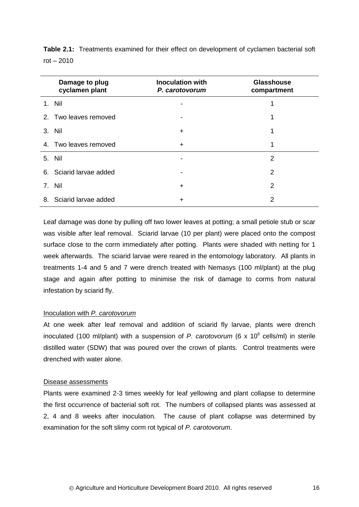|    | Damage to plug<br>cyclamen plant | <b>Inoculation with</b><br>P. carotovorum | <b>Glasshouse</b><br>compartment |
|----|----------------------------------|-------------------------------------------|----------------------------------|
|    | 1. Nil                           |                                           |                                  |
|    | 2. Two leaves removed            |                                           |                                  |
|    | 3. Nil                           | $\div$                                    |                                  |
|    | 4. Two leaves removed            | $\div$                                    | 1                                |
|    | 5. Nil                           |                                           | 2                                |
|    | 6. Sciarid larvae added          |                                           | 2                                |
|    | 7. Nil                           | ┿                                         | 2                                |
| 8. | Sciarid larvae added             | ┿                                         | 2                                |

**Table 2.1:** Treatments examined for their effect on development of cyclamen bacterial soft rot – 2010

Leaf damage was done by pulling off two lower leaves at potting; a small petiole stub or scar was visible after leaf removal. Sciarid larvae (10 per plant) were placed onto the compost surface close to the corm immediately after potting. Plants were shaded with netting for 1 week afterwards. The sciarid larvae were reared in the entomology laboratory. All plants in treatments 1-4 and 5 and 7 were drench treated with Nemasys (100 ml/plant) at the plug stage and again after potting to minimise the risk of damage to corms from natural infestation by sciarid fly.

#### Inoculation with *P. carotovorum*

At one week after leaf removal and addition of sciarid fly larvae, plants were drench inoculated (100 ml/plant) with a suspension of *P. carotovorum* (6 x 10<sup>6</sup> cells/ml) in sterile distilled water (SDW) that was poured over the crown of plants. Control treatments were drenched with water alone.

#### Disease assessments

Plants were examined 2-3 times weekly for leaf yellowing and plant collapse to determine the first occurrence of bacterial soft rot. The numbers of collapsed plants was assessed at 2, 4 and 8 weeks after inoculation. The cause of plant collapse was determined by examination for the soft slimy corm rot typical of *P. carotovorum*.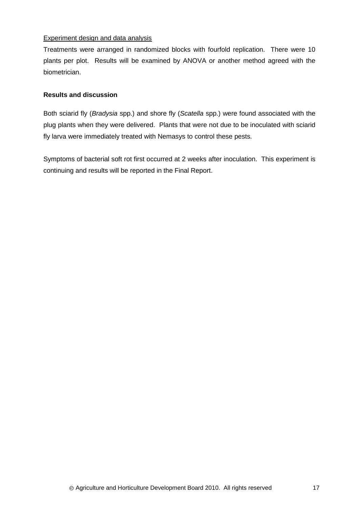## Experiment design and data analysis

Treatments were arranged in randomized blocks with fourfold replication. There were 10 plants per plot. Results will be examined by ANOVA or another method agreed with the biometrician.

## <span id="page-20-0"></span>**Results and discussion**

Both sciarid fly (*Bradysia* spp.) and shore fly (*Scatella* spp.) were found associated with the plug plants when they were delivered. Plants that were not due to be inoculated with sciarid fly larva were immediately treated with Nemasys to control these pests.

Symptoms of bacterial soft rot first occurred at 2 weeks after inoculation. This experiment is continuing and results will be reported in the Final Report.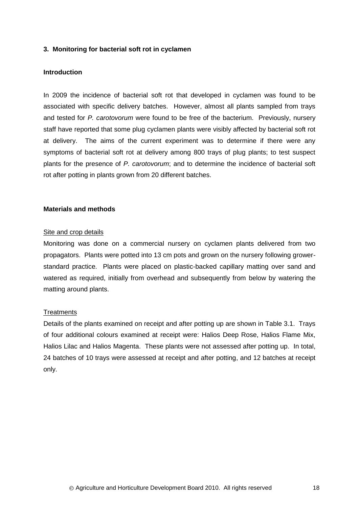## <span id="page-21-0"></span>**3. Monitoring for bacterial soft rot in cyclamen**

#### <span id="page-21-1"></span>**Introduction**

In 2009 the incidence of bacterial soft rot that developed in cyclamen was found to be associated with specific delivery batches. However, almost all plants sampled from trays and tested for *P. carotovorum* were found to be free of the bacterium. Previously, nursery staff have reported that some plug cyclamen plants were visibly affected by bacterial soft rot at delivery. The aims of the current experiment was to determine if there were any symptoms of bacterial soft rot at delivery among 800 trays of plug plants; to test suspect plants for the presence of *P. carotovorum*; and to determine the incidence of bacterial soft rot after potting in plants grown from 20 different batches.

### <span id="page-21-2"></span>**Materials and methods**

#### Site and crop details

Monitoring was done on a commercial nursery on cyclamen plants delivered from two propagators. Plants were potted into 13 cm pots and grown on the nursery following growerstandard practice. Plants were placed on plastic-backed capillary matting over sand and watered as required, initially from overhead and subsequently from below by watering the matting around plants.

#### **Treatments**

Details of the plants examined on receipt and after potting up are shown in Table 3.1. Trays of four additional colours examined at receipt were: Halios Deep Rose, Halios Flame Mix, Halios Lilac and Halios Magenta. These plants were not assessed after potting up. In total, 24 batches of 10 trays were assessed at receipt and after potting, and 12 batches at receipt only.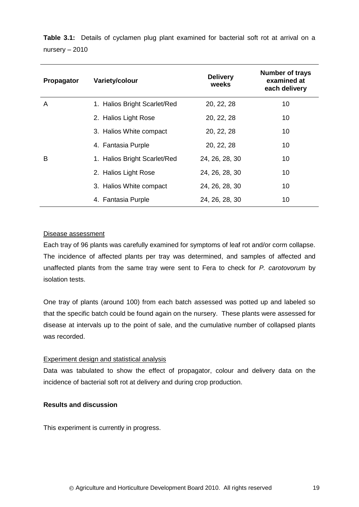**Table 3.1:** Details of cyclamen plug plant examined for bacterial soft rot at arrival on a nursery – 2010

| Propagator | Variety/colour               | <b>Delivery</b><br>weeks | <b>Number of trays</b><br>examined at<br>each delivery |
|------------|------------------------------|--------------------------|--------------------------------------------------------|
| A          | 1. Halios Bright Scarlet/Red | 20, 22, 28               | 10                                                     |
|            | 2. Halios Light Rose         | 20, 22, 28               | 10                                                     |
|            | 3. Halios White compact      | 20, 22, 28               | 10                                                     |
|            | 4. Fantasia Purple           | 20, 22, 28               | 10                                                     |
| B          | 1. Halios Bright Scarlet/Red | 24, 26, 28, 30           | 10                                                     |
|            | 2. Halios Light Rose         | 24, 26, 28, 30           | 10                                                     |
|            | 3. Halios White compact      | 24, 26, 28, 30           | 10                                                     |
|            | 4. Fantasia Purple           | 24, 26, 28, 30           | 10                                                     |

## Disease assessment

Each tray of 96 plants was carefully examined for symptoms of leaf rot and/or corm collapse. The incidence of affected plants per tray was determined, and samples of affected and unaffected plants from the same tray were sent to Fera to check for *P. carotovorum* by isolation tests.

One tray of plants (around 100) from each batch assessed was potted up and labeled so that the specific batch could be found again on the nursery. These plants were assessed for disease at intervals up to the point of sale, and the cumulative number of collapsed plants was recorded.

## Experiment design and statistical analysis

Data was tabulated to show the effect of propagator, colour and delivery data on the incidence of bacterial soft rot at delivery and during crop production.

## <span id="page-22-0"></span>**Results and discussion**

This experiment is currently in progress.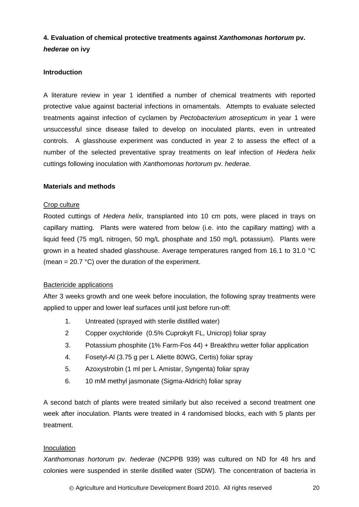## <span id="page-23-0"></span>**4. Evaluation of chemical protective treatments against** *Xanthomonas hortorum* **pv.**  *hederae* **on ivy**

## <span id="page-23-1"></span>**Introduction**

A literature review in year 1 identified a number of chemical treatments with reported protective value against bacterial infections in ornamentals. Attempts to evaluate selected treatments against infection of cyclamen by *Pectobacterium atrosepticum* in year 1 were unsuccessful since disease failed to develop on inoculated plants, even in untreated controls. A glasshouse experiment was conducted in year 2 to assess the effect of a number of the selected preventative spray treatments on leaf infection of *Hedera helix* cuttings following inoculation with *Xanthomonas hortorum* pv. *hederae.*

## <span id="page-23-2"></span>**Materials and methods**

#### Crop culture

Rooted cuttings of *Hedera helix*, transplanted into 10 cm pots, were placed in trays on capillary matting. Plants were watered from below (i.e. into the capillary matting) with a liquid feed (75 mg/L nitrogen, 50 mg/L phosphate and 150 mg/L potassium). Plants were grown in a heated shaded glasshouse. Average temperatures ranged from 16.1 to 31.0 °C (mean =  $20.7 \text{ °C}$ ) over the duration of the experiment.

## Bactericide applications

After 3 weeks growth and one week before inoculation, the following spray treatments were applied to upper and lower leaf surfaces until just before run-off:

- 1. Untreated (sprayed with sterile distilled water)
- 2 Copper oxychloride (0.5% Cuprokylt FL, Unicrop) foliar spray
- 3. Potassium phosphite (1% Farm-Fos 44) + Breakthru wetter foliar application
- 4. Fosetyl-Al (3.75 g per L Aliette 80WG, Certis) foliar spray
- 5. Azoxystrobin (1 ml per L Amistar, Syngenta) foliar spray
- 6. 10 mM methyl jasmonate (Sigma-Aldrich) foliar spray

A second batch of plants were treated similarly but also received a second treatment one week after inoculation. Plants were treated in 4 randomised blocks, each with 5 plants per treatment.

## Inoculation

*Xanthomonas hortorum* pv. *hederae* (NCPPB 939) was cultured on ND for 48 hrs and colonies were suspended in sterile distilled water (SDW). The concentration of bacteria in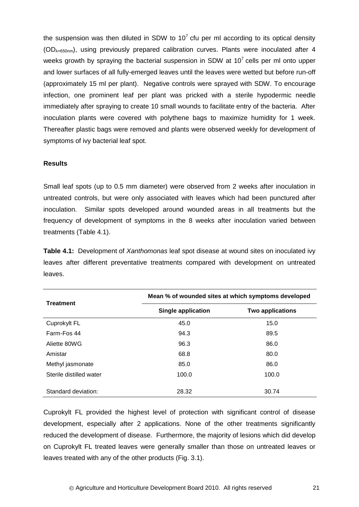the suspension was then diluted in SDW to  $10<sup>7</sup>$  cfu per ml according to its optical density  $(OD<sub>A=650nm</sub>)$ , using previously prepared calibration curves. Plants were inoculated after 4 weeks growth by spraying the bacterial suspension in SDW at  $10<sup>7</sup>$  cells per ml onto upper and lower surfaces of all fully-emerged leaves until the leaves were wetted but before run-off (approximately 15 ml per plant). Negative controls were sprayed with SDW. To encourage infection, one prominent leaf per plant was pricked with a sterile hypodermic needle immediately after spraying to create 10 small wounds to facilitate entry of the bacteria. After inoculation plants were covered with polythene bags to maximize humidity for 1 week. Thereafter plastic bags were removed and plants were observed weekly for development of symptoms of ivy bacterial leaf spot.

## <span id="page-24-0"></span>**Results**

Small leaf spots (up to 0.5 mm diameter) were observed from 2 weeks after inoculation in untreated controls, but were only associated with leaves which had been punctured after inoculation. Similar spots developed around wounded areas in all treatments but the frequency of development of symptoms in the 8 weeks after inoculation varied between treatments (Table 4.1).

**Table 4.1:** Development of *Xanthomonas* leaf spot disease at wound sites on inoculated ivy leaves after different preventative treatments compared with development on untreated leaves.

|                         | Mean % of wounded sites at which symptoms developed |                         |  |
|-------------------------|-----------------------------------------------------|-------------------------|--|
| <b>Treatment</b>        | <b>Single application</b>                           | <b>Two applications</b> |  |
| Cuprokylt FL            | 45.0                                                | 15.0                    |  |
| Farm-Fos 44             | 94.3                                                | 89.5                    |  |
| Aliette 80WG            | 96.3                                                | 86.0                    |  |
| Amistar                 | 68.8                                                | 80.0                    |  |
| Methyl jasmonate        | 85.0                                                | 86.0                    |  |
| Sterile distilled water | 100.0                                               | 100.0                   |  |
| Standard deviation:     | 28.32                                               | 30.74                   |  |

Cuprokylt FL provided the highest level of protection with significant control of disease development, especially after 2 applications. None of the other treatments significantly reduced the development of disease. Furthermore, the majority of lesions which did develop on Cuprokylt FL treated leaves were generally smaller than those on untreated leaves or leaves treated with any of the other products (Fig. 3.1).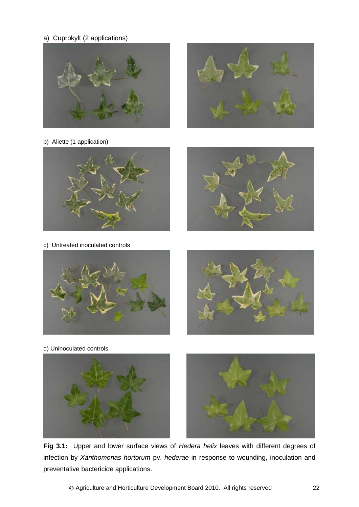a) Cuprokylt (2 applications)





b) Aliette (1 application)



c) Untreated inoculated controls







d) Uninoculated controls



Ļ

**Fig 3.1:** Upper and lower surface views of *Hedera helix* leaves with different degrees of infection by *Xanthomonas hortorum* pv. *hederae* in response to wounding, inoculation and preventative bactericide applications.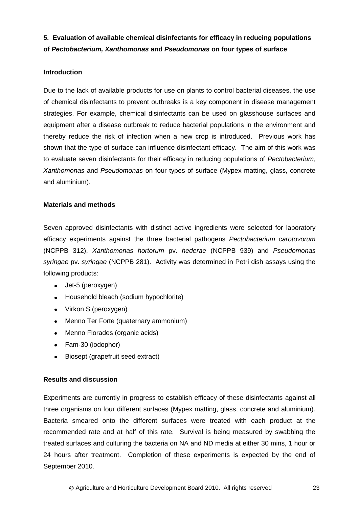<span id="page-26-0"></span>**5. Evaluation of available chemical disinfectants for efficacy in reducing populations of** *Pectobacterium, Xanthomonas* **and** *Pseudomonas* **on four types of surface**

## <span id="page-26-1"></span>**Introduction**

Due to the lack of available products for use on plants to control bacterial diseases, the use of chemical disinfectants to prevent outbreaks is a key component in disease management strategies. For example, chemical disinfectants can be used on glasshouse surfaces and equipment after a disease outbreak to reduce bacterial populations in the environment and thereby reduce the risk of infection when a new crop is introduced. Previous work has shown that the type of surface can influence disinfectant efficacy. The aim of this work was to evaluate seven disinfectants for their efficacy in reducing populations of *Pectobacterium, Xanthomonas* and *Pseudomonas* on four types of surface (Mypex matting, glass, concrete and aluminium).

## <span id="page-26-2"></span>**Materials and methods**

Seven approved disinfectants with distinct active ingredients were selected for laboratory efficacy experiments against the three bacterial pathogens *Pectobacterium carotovorum* (NCPPB 312), *Xanthomonas hortorum* pv. *hederae* (NCPPB 939) and *Pseudomonas syringae* pv. *syringae* (NCPPB 281). Activity was determined in Petri dish assays using the following products:

- Jet-5 (peroxygen)
- Household bleach (sodium hypochlorite)
- Virkon S (peroxygen)
- Menno Ter Forte (quaternary ammonium)  $\bullet$
- Menno Florades (organic acids)
- Fam-30 (iodophor)
- Biosept (grapefruit seed extract)

## <span id="page-26-3"></span>**Results and discussion**

Experiments are currently in progress to establish efficacy of these disinfectants against all three organisms on four different surfaces (Mypex matting, glass, concrete and aluminium). Bacteria smeared onto the different surfaces were treated with each product at the recommended rate and at half of this rate. Survival is being measured by swabbing the treated surfaces and culturing the bacteria on NA and ND media at either 30 mins, 1 hour or 24 hours after treatment. Completion of these experiments is expected by the end of September 2010.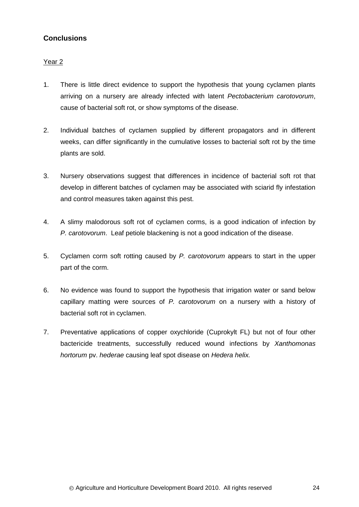## <span id="page-27-0"></span>**Conclusions**

## Year 2

- 1. There is little direct evidence to support the hypothesis that young cyclamen plants arriving on a nursery are already infected with latent *Pectobacterium carotovorum*, cause of bacterial soft rot, or show symptoms of the disease.
- 2. Individual batches of cyclamen supplied by different propagators and in different weeks, can differ significantly in the cumulative losses to bacterial soft rot by the time plants are sold.
- 3. Nursery observations suggest that differences in incidence of bacterial soft rot that develop in different batches of cyclamen may be associated with sciarid fly infestation and control measures taken against this pest.
- 4. A slimy malodorous soft rot of cyclamen corms, is a good indication of infection by *P. carotovorum*. Leaf petiole blackening is not a good indication of the disease.
- 5. Cyclamen corm soft rotting caused by *P. carotovorum* appears to start in the upper part of the corm.
- 6. No evidence was found to support the hypothesis that irrigation water or sand below capillary matting were sources of *P. carotovorum* on a nursery with a history of bacterial soft rot in cyclamen.
- 7. Preventative applications of copper oxychloride (Cuprokylt FL) but not of four other bactericide treatments, successfully reduced wound infections by *Xanthomonas hortorum* pv. *hederae* causing leaf spot disease on *Hedera helix.*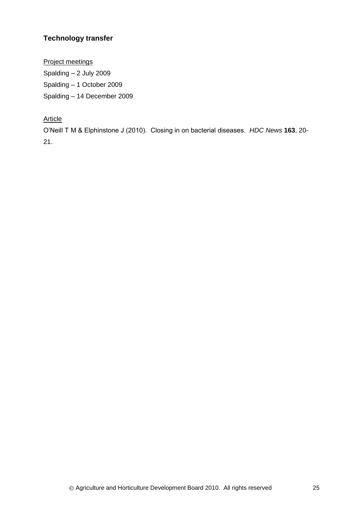## <span id="page-28-0"></span>**Technology transfer**

Project meetings Spalding – 2 July 2009 Spalding – 1 October 2009 Spalding – 14 December 2009

## **Article**

O'Neill T M & Elphinstone J (2010). Closing in on bacterial diseases. *HDC News* **163**, 20- 21.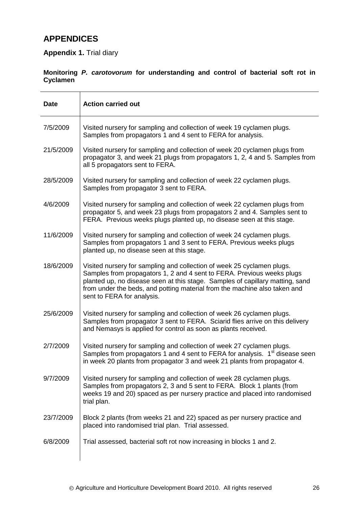# <span id="page-29-0"></span>**APPENDICES**

## **Appendix 1.** Trial diary

## **Monitoring** *P. carotovorum* **for understanding and control of bacterial soft rot in Cyclamen**

| Date      | <b>Action carried out</b>                                                                                                                                                                                                                                                                                                                    |
|-----------|----------------------------------------------------------------------------------------------------------------------------------------------------------------------------------------------------------------------------------------------------------------------------------------------------------------------------------------------|
| 7/5/2009  | Visited nursery for sampling and collection of week 19 cyclamen plugs.<br>Samples from propagators 1 and 4 sent to FERA for analysis.                                                                                                                                                                                                        |
| 21/5/2009 | Visited nursery for sampling and collection of week 20 cyclamen plugs from<br>propagator 3, and week 21 plugs from propagators 1, 2, 4 and 5. Samples from<br>all 5 propagators sent to FERA.                                                                                                                                                |
| 28/5/2009 | Visited nursery for sampling and collection of week 22 cyclamen plugs.<br>Samples from propagator 3 sent to FERA.                                                                                                                                                                                                                            |
| 4/6/2009  | Visited nursery for sampling and collection of week 22 cyclamen plugs from<br>propagator 5, and week 23 plugs from propagators 2 and 4. Samples sent to<br>FERA. Previous weeks plugs planted up, no disease seen at this stage.                                                                                                             |
| 11/6/2009 | Visited nursery for sampling and collection of week 24 cyclamen plugs.<br>Samples from propagators 1 and 3 sent to FERA. Previous weeks plugs<br>planted up, no disease seen at this stage.                                                                                                                                                  |
| 18/6/2009 | Visited nursery for sampling and collection of week 25 cyclamen plugs.<br>Samples from propagators 1, 2 and 4 sent to FERA. Previous weeks plugs<br>planted up, no disease seen at this stage. Samples of capillary matting, sand<br>from under the beds, and potting material from the machine also taken and<br>sent to FERA for analysis. |
| 25/6/2009 | Visited nursery for sampling and collection of week 26 cyclamen plugs.<br>Samples from propagator 3 sent to FERA. Sciarid flies arrive on this delivery<br>and Nemasys is applied for control as soon as plants received.                                                                                                                    |
| 2/7/2009  | Visited nursery for sampling and collection of week 27 cyclamen plugs.<br>Samples from propagators 1 and 4 sent to FERA for analysis. 1 <sup>st</sup> disease seen<br>in week 20 plants from propagator 3 and week 21 plants from propagator 4.                                                                                              |
| 9/7/2009  | Visited nursery for sampling and collection of week 28 cyclamen plugs.<br>Samples from propagators 2, 3 and 5 sent to FERA. Block 1 plants (from<br>weeks 19 and 20) spaced as per nursery practice and placed into randomised<br>trial plan.                                                                                                |
| 23/7/2009 | Block 2 plants (from weeks 21 and 22) spaced as per nursery practice and<br>placed into randomised trial plan. Trial assessed.                                                                                                                                                                                                               |
| 6/8/2009  | Trial assessed, bacterial soft rot now increasing in blocks 1 and 2.                                                                                                                                                                                                                                                                         |